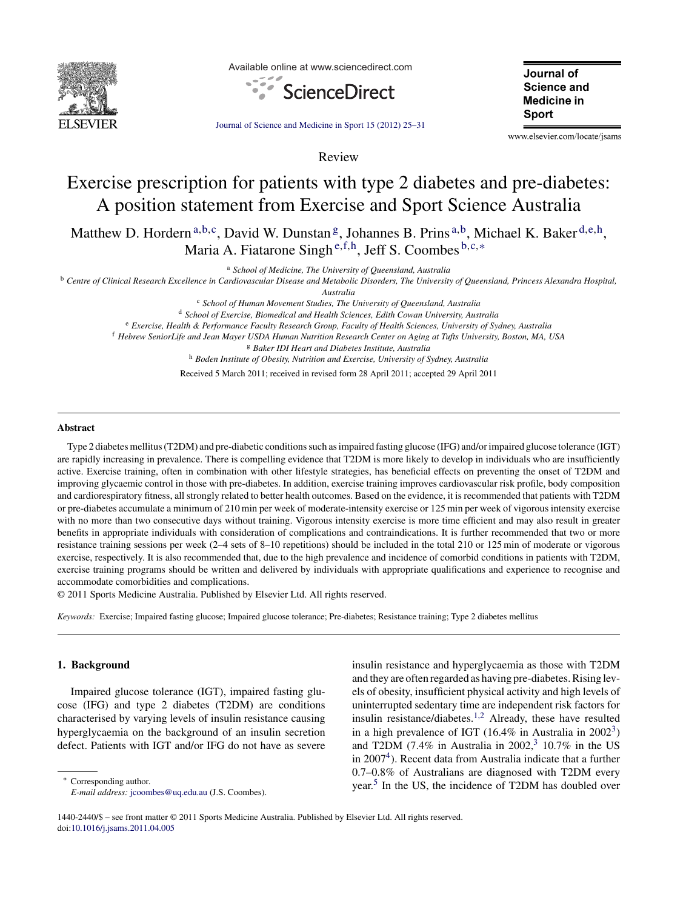

Available online at www.sciencedirect.com



Journal of **Science and Medicine in** Sport

[Journal of Science and Medicine in Sport 15 \(2012\) 25–](dx.doi.org/10.1016/j.jsams.2011.04.005)31

www.elsevier.com/locate/jsams

# Exercise prescription for patients with type 2 diabetes and pre-diabetes: A position statement from Exercise and Sport Science Australia

Review

Matthew D. Hordern a, b,c, David W. Dunstan <sup>g</sup>, Johannes B. Prins a, b, Michael K. Baker d,e,h, Maria A. Fiatarone Singh <sup>e</sup>*,*f*,*h, Jeff S. Coombes <sup>b</sup>*,*c*,*<sup>∗</sup>

<sup>a</sup> *School of Medicine, The University of Queensland, Australia*

<sup>b</sup> *Centre of Clinical Research Excellence in Cardiovascular Disease and Metabolic Disorders, The University of Queensland, Princess Alexandra Hospital,*

*Australia*

<sup>c</sup> *School of Human Movement Studies, The University of Queensland, Australia*

<sup>d</sup> *School of Exercise, Biomedical and Health Sciences, Edith Cowan University, Australia*

<sup>e</sup> *Exercise, Health & Performance Faculty Research Group, Faculty of Health Sciences, University of Sydney, Australia*

<sup>f</sup> *Hebrew SeniorLife and Jean Mayer USDA Human Nutrition Research Center on Aging at Tufts University, Boston, MA, USA*

<sup>g</sup> *Baker IDI Heart and Diabetes Institute, Australia*

<sup>h</sup> *Boden Institute of Obesity, Nutrition and Exercise, University of Sydney, Australia*

Received 5 March 2011; received in revised form 28 April 2011; accepted 29 April 2011

#### **Abstract**

Type 2 diabetes mellitus (T2DM) and pre-diabetic conditions such as impaired fasting glucose (IFG) and/or impaired glucose tolerance (IGT) are rapidly increasing in prevalence. There is compelling evidence that T2DM is more likely to develop in individuals who are insufficiently active. Exercise training, often in combination with other lifestyle strategies, has beneficial effects on preventing the onset of T2DM and improving glycaemic control in those with pre-diabetes. In addition, exercise training improves cardiovascular risk profile, body composition and cardiorespiratory fitness, all strongly related to better health outcomes. Based on the evidence, it is recommended that patients with T2DM or pre-diabetes accumulate a minimum of 210 min per week of moderate-intensity exercise or 125 min per week of vigorous intensity exercise with no more than two consecutive days without training. Vigorous intensity exercise is more time efficient and may also result in greater benefits in appropriate individuals with consideration of complications and contraindications. It is further recommended that two or more resistance training sessions per week (2–4 sets of 8–10 repetitions) should be included in the total 210 or 125 min of moderate or vigorous exercise, respectively. It is also recommended that, due to the high prevalence and incidence of comorbid conditions in patients with T2DM, exercise training programs should be written and delivered by individuals with appropriate qualifications and experience to recognise and accommodate comorbidities and complications.

© 2011 Sports Medicine Australia. Published by Elsevier Ltd. All rights reserved.

*Keywords:* Exercise; Impaired fasting glucose; Impaired glucose tolerance; Pre-diabetes; Resistance training; Type 2 diabetes mellitus

# **1. Background**

Impaired glucose tolerance (IGT), impaired fasting glucose (IFG) and type 2 diabetes (T2DM) are conditions characterised by varying levels of insulin resistance causing hyperglycaemia on the background of an insulin secretion defect. Patients with IGT and/or IFG do not have as severe

∗ Corresponding author. *E-mail address:* [jcoombes@uq.edu.au](mailto:jcoombes@uq.edu.au) (J.S. Coombes). insulin resistance and hyperglycaemia as those with T2DM and they are often regarded as having pre-diabetes. Rising levels of obesity, insufficient physical activity and high levels of uninterrupted sedentary time are independent risk factors for insulin resistance/diabetes.[1,2](#page-4-0) Already, these have resulted in a high prevalence of IGT (16.4% in Australia in  $2002<sup>3</sup>$ ) and T2DM (7.4% in Australia in 2002,<sup>[3](#page-5-0)</sup> 10.7% in the US in  $2007<sup>4</sup>$ ). Recent data from Australia indicate that a further 0.7–0.8% of Australians are diagnosed with T2DM every year.<sup>[5](#page-5-0)</sup> In the US, the incidence of T2DM has doubled over

<sup>1440-2440/\$ –</sup> see front matter © 2011 Sports Medicine Australia. Published by Elsevier Ltd. All rights reserved. doi[:10.1016/j.jsams.2011.04.005](dx.doi.org/10.1016/j.jsams.2011.04.005)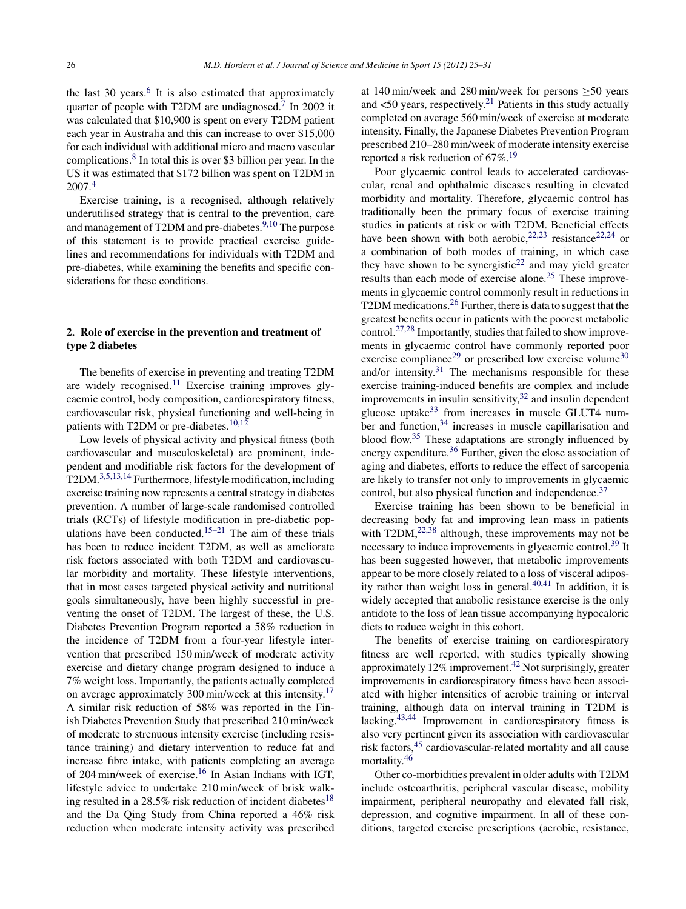the last 30 years.<sup>[6](#page-5-0)</sup> It is also estimated that approximately quarter of people with T2DM are undiagnosed.<sup>[7](#page-5-0)</sup> In 2002 it was calculated that \$10,900 is spent on every T2DM patient each year in Australia and this can increase to over \$15,000 for each individual with additional micro and macro vascular complications.[8](#page-5-0) In total this is over \$3 billion per year. In the US it was estimated that \$172 billion was spent on T2DM in 2007.[4](#page-5-0)

Exercise training, is a recognised, although relatively underutilised strategy that is central to the prevention, care and management of T2DM and pre-diabetes.<sup>[9,10](#page-5-0)</sup> The purpose of this statement is to provide practical exercise guidelines and recommendations for individuals with T2DM and pre-diabetes, while examining the benefits and specific considerations for these conditions.

# **2. Role of exercise in the prevention and treatment of type 2 diabetes**

The benefits of exercise in preventing and treating T2DM are widely recognised.<sup>[11](#page-5-0)</sup> Exercise training improves glycaemic control, body composition, cardiorespiratory fitness, cardiovascular risk, physical functioning and well-being in patients with T2DM or pre-diabetes.<sup>[10,12](#page-5-0)</sup>

Low levels of physical activity and physical fitness (both cardiovascular and musculoskeletal) are prominent, independent and modifiable risk factors for the development of T2DM.[3,5,13,14](#page-5-0) Furthermore, lifestyle modification, including exercise training now represents a central strategy in diabetes prevention. A number of large-scale randomised controlled trials (RCTs) of lifestyle modification in pre-diabetic pop-ulations have been conducted.<sup>[15–21](#page-5-0)</sup> The aim of these trials has been to reduce incident T2DM, as well as ameliorate risk factors associated with both T2DM and cardiovascular morbidity and mortality. These lifestyle interventions, that in most cases targeted physical activity and nutritional goals simultaneously, have been highly successful in preventing the onset of T2DM. The largest of these, the U.S. Diabetes Prevention Program reported a 58% reduction in the incidence of T2DM from a four-year lifestyle intervention that prescribed 150 min/week of moderate activity exercise and dietary change program designed to induce a 7% weight loss. Importantly, the patients actually completed on average approximately 300 min/week at this intensity.<sup>[17](#page-5-0)</sup> A similar risk reduction of 58% was reported in the Finish Diabetes Prevention Study that prescribed 210 min/week of moderate to strenuous intensity exercise (including resistance training) and dietary intervention to reduce fat and increase fibre intake, with patients completing an average of 204 min/week of exercise.[16](#page-5-0) In Asian Indians with IGT, lifestyle advice to undertake 210 min/week of brisk walk-ing resulted in a 28.5% risk reduction of incident diabetes<sup>[18](#page-5-0)</sup> and the Da Qing Study from China reported a 46% risk reduction when moderate intensity activity was prescribed

at 140 min/week and 280 min/week for persons ≥50 years and  $\langle 50 \rangle$  years, respectively.<sup>[21](#page-5-0)</sup> Patients in this study actually completed on average 560 min/week of exercise at moderate intensity. Finally, the Japanese Diabetes Prevention Program prescribed 210–280 min/week of moderate intensity exercise reported a risk reduction of  $67\%$ <sup>[19](#page-5-0)</sup>

Poor glycaemic control leads to accelerated cardiovascular, renal and ophthalmic diseases resulting in elevated morbidity and mortality. Therefore, glycaemic control has traditionally been the primary focus of exercise training studies in patients at risk or with T2DM. Beneficial effects have been shown with both aerobic,  $22,23$  resistance  $22,24$  or a combination of both modes of training, in which case they have shown to be synergistic<sup>22</sup> and may yield greater results than each mode of exercise alone.[25](#page-5-0) These improvements in glycaemic control commonly result in reductions in T2DM medications.<sup>[26](#page-5-0)</sup> Further, there is data to suggest that the greatest benefits occur in patients with the poorest metabolic control.<sup>[27,28](#page-5-0)</sup> Importantly, studies that failed to show improvements in glycaemic control have commonly reported poor exercise compliance<sup>[29](#page-5-0)</sup> or prescribed low exercise volume<sup>[30](#page-5-0)</sup> and/or intensity. $31$  The mechanisms responsible for these exercise training-induced benefits are complex and include improvements in insulin sensitivity,  $32$  and insulin dependent glucose uptake<sup>[33](#page-5-0)</sup> from increases in muscle GLUT4 num-ber and function,<sup>[34](#page-5-0)</sup> increases in muscle capillarisation and blood flow.[35](#page-5-0) These adaptations are strongly influenced by energy expenditure.<sup>[36](#page-5-0)</sup> Further, given the close association of aging and diabetes, efforts to reduce the effect of sarcopenia are likely to transfer not only to improvements in glycaemic control, but also physical function and independence.<sup>37</sup>

Exercise training has been shown to be beneficial in decreasing body fat and improving lean mass in patients with  $T2DM$ ,  $^{22,38}$  $^{22,38}$  $^{22,38}$  although, these improvements may not be necessary to induce improvements in glycaemic control.[39](#page-5-0) It has been suggested however, that metabolic improvements appear to be more closely related to a loss of visceral adipos-ity rather than weight loss in general.<sup>[40,41](#page-5-0)</sup> In addition, it is widely accepted that anabolic resistance exercise is the only antidote to the loss of lean tissue accompanying hypocaloric diets to reduce weight in this cohort.

The benefits of exercise training on cardiorespiratory fitness are well reported, with studies typically showing approximately  $12\%$  improvement.<sup>[42](#page-5-0)</sup> Not surprisingly, greater improvements in cardiorespiratory fitness have been associated with higher intensities of aerobic training or interval training, although data on interval training in T2DM is lacking.[43,44](#page-5-0) Improvement in cardiorespiratory fitness is also very pertinent given its association with cardiovascular risk factors,[45](#page-6-0) cardiovascular-related mortality and all cause mortality.[46](#page-6-0)

Other co-morbidities prevalent in older adults with T2DM include osteoarthritis, peripheral vascular disease, mobility impairment, peripheral neuropathy and elevated fall risk, depression, and cognitive impairment. In all of these conditions, targeted exercise prescriptions (aerobic, resistance,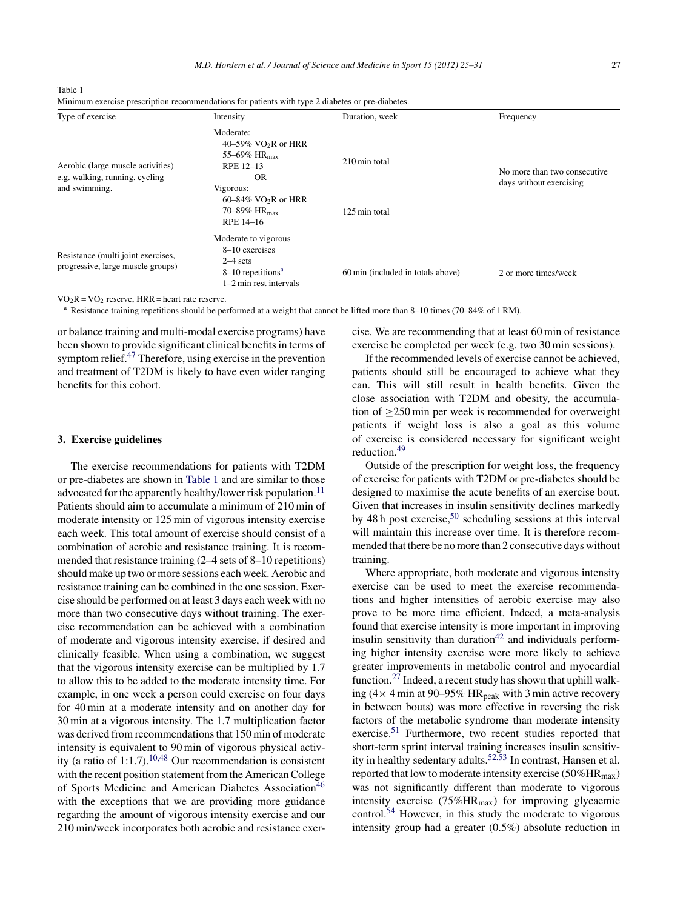| ٠ | ۰. |
|---|----|
|   |    |
|   |    |

| Type of exercise                                                                     | Intensity                                                                                                                                                                     | Duration, week                    | Frequency                                               |
|--------------------------------------------------------------------------------------|-------------------------------------------------------------------------------------------------------------------------------------------------------------------------------|-----------------------------------|---------------------------------------------------------|
| Aerobic (large muscle activities)<br>e.g. walking, running, cycling<br>and swimming. | Moderate:<br>$40-59\%$ VO <sub>2</sub> R or HRR<br>55-69% $HR_{max}$<br>RPE 12-13<br>OR.<br>Vigorous:<br>$60-84\%$ VO <sub>2</sub> R or HRR<br>70–89% $HR_{max}$<br>RPE 14-16 | 210 min total<br>125 min total    | No more than two consecutive<br>days without exercising |
| Resistance (multi joint exercises,<br>progressive, large muscle groups)              | Moderate to vigorous<br>8-10 exercises<br>$2-4$ sets<br>$8-10$ repetitions <sup>a</sup><br>$1-2$ min rest intervals                                                           | 60 min (included in totals above) | 2 or more times/week                                    |

Table 1 Minimum exercise prescription recommendations for patients with type 2 diabetes or pre-diabetes.

 $VO_2R = VO_2$  reserve, HRR = heart rate reserve.<br><sup>a</sup> Resistance training repetitions should be performed at a weight that cannot be lifted more than 8–10 times (70–84% of 1 RM).

or balance training and multi-modal exercise programs) have been shown to provide significant clinical benefits in terms of symptom relief.[47](#page-6-0) Therefore, using exercise in the prevention and treatment of T2DM is likely to have even wider ranging benefits for this cohort.

#### **3. Exercise guidelines**

The exercise recommendations for patients with T2DM or pre-diabetes are shown in Table 1 and are similar to those advocated for the apparently healthy/lower risk population.<sup>[11](#page-5-0)</sup> Patients should aim to accumulate a minimum of 210 min of moderate intensity or 125 min of vigorous intensity exercise each week. This total amount of exercise should consist of a combination of aerobic and resistance training. It is recommended that resistance training (2–4 sets of 8–10 repetitions) should make up two or more sessions each week. Aerobic and resistance training can be combined in the one session. Exercise should be performed on at least 3 days each week with no more than two consecutive days without training. The exercise recommendation can be achieved with a combination of moderate and vigorous intensity exercise, if desired and clinically feasible. When using a combination, we suggest that the vigorous intensity exercise can be multiplied by 1.7 to allow this to be added to the moderate intensity time. For example, in one week a person could exercise on four days for 40 min at a moderate intensity and on another day for 30 min at a vigorous intensity. The 1.7 multiplication factor was derived from recommendations that 150 min of moderate intensity is equivalent to 90 min of vigorous physical activ-ity (a ratio of 1:1.7).<sup>[10,48](#page-5-0)</sup> Our recommendation is consistent with the recent position statement from the American College of Sports Medicine and American Diabetes Association<sup>[46](#page-6-0)</sup> with the exceptions that we are providing more guidance regarding the amount of vigorous intensity exercise and our 210 min/week incorporates both aerobic and resistance exercise. We are recommending that at least 60 min of resistance exercise be completed per week (e.g. two 30 min sessions).

If the recommended levels of exercise cannot be achieved, patients should still be encouraged to achieve what they can. This will still result in health benefits. Given the close association with T2DM and obesity, the accumulation of ≥250 min per week is recommended for overweight patients if weight loss is also a goal as this volume of exercise is considered necessary for significant weight reduction.[49](#page-6-0)

Outside of the prescription for weight loss, the frequency of exercise for patients with T2DM or pre-diabetes should be designed to maximise the acute benefits of an exercise bout. Given that increases in insulin sensitivity declines markedly by 48 h post exercise,  $50$  scheduling sessions at this interval will maintain this increase over time. It is therefore recommended that there be no more than 2 consecutive days without training.

Where appropriate, both moderate and vigorous intensity exercise can be used to meet the exercise recommendations and higher intensities of aerobic exercise may also prove to be more time efficient. Indeed, a meta-analysis found that exercise intensity is more important in improving insulin sensitivity than duration<sup>[42](#page-5-0)</sup> and individuals performing higher intensity exercise were more likely to achieve greater improvements in metabolic control and myocardial function.<sup>[27](#page-5-0)</sup> Indeed, a recent study has shown that uphill walking ( $4 \times 4$  min at 90–95% HR<sub>peak</sub> with 3 min active recovery in between bouts) was more effective in reversing the risk factors of the metabolic syndrome than moderate intensity exercise.<sup>[51](#page-6-0)</sup> Furthermore, two recent studies reported that short-term sprint interval training increases insulin sensitiv-ity in healthy sedentary adults.<sup>[52,53](#page-6-0)</sup> In contrast, Hansen et al. reported that low to moderate intensity exercise ( $50\%$ HR<sub>max</sub>) was not significantly different than moderate to vigorous intensity exercise  $(75\%HR_{max})$  for improving glycaemic control.[54](#page-6-0) However, in this study the moderate to vigorous intensity group had a greater (0.5%) absolute reduction in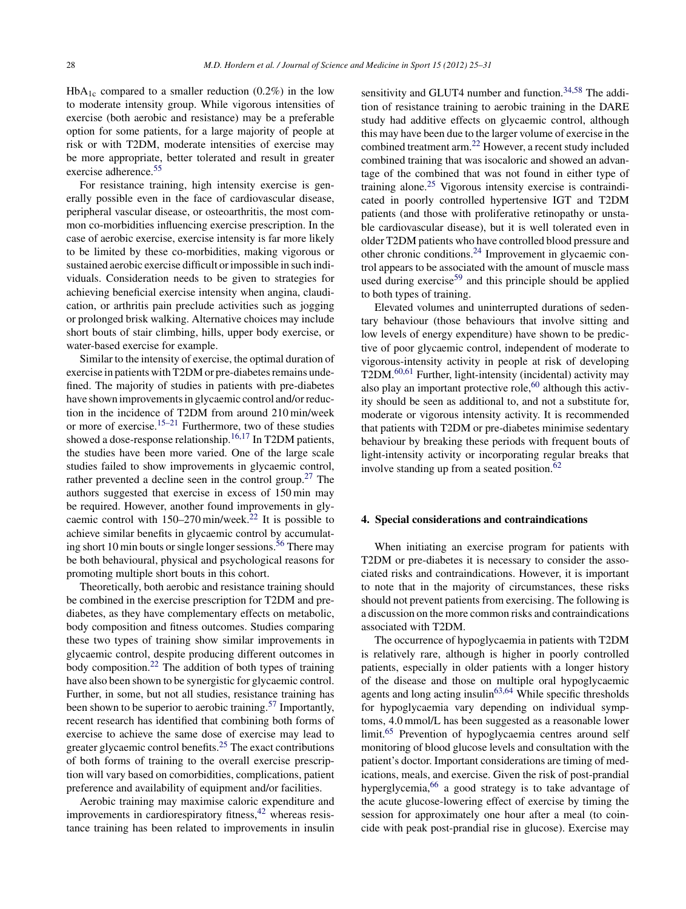$HbA_{1c}$  compared to a smaller reduction (0.2%) in the low to moderate intensity group. While vigorous intensities of exercise (both aerobic and resistance) may be a preferable option for some patients, for a large majority of people at risk or with T2DM, moderate intensities of exercise may be more appropriate, better tolerated and result in greater exercise adherence.<sup>[55](#page-6-0)</sup>

For resistance training, high intensity exercise is generally possible even in the face of cardiovascular disease, peripheral vascular disease, or osteoarthritis, the most common co-morbidities influencing exercise prescription. In the case of aerobic exercise, exercise intensity is far more likely to be limited by these co-morbidities, making vigorous or sustained aerobic exercise difficult or impossible in such individuals. Consideration needs to be given to strategies for achieving beneficial exercise intensity when angina, claudication, or arthritis pain preclude activities such as jogging or prolonged brisk walking. Alternative choices may include short bouts of stair climbing, hills, upper body exercise, or water-based exercise for example.

Similar to the intensity of exercise, the optimal duration of exercise in patients with T2DM or pre-diabetes remains undefined. The majority of studies in patients with pre-diabetes have shown improvements in glycaemic control and/or reduction in the incidence of T2DM from around 210 min/week or more of exercise.<sup>[15–21](#page-5-0)</sup> Furthermore, two of these studies showed a dose-response relationship.[16,17](#page-5-0) In T2DM patients, the studies have been more varied. One of the large scale studies failed to show improvements in glycaemic control, rather prevented a decline seen in the control group.<sup>[27](#page-5-0)</sup> The authors suggested that exercise in excess of 150 min may be required. However, another found improvements in glycaemic control with 150–270 min/week.[22](#page-5-0) It is possible to achieve similar benefits in glycaemic control by accumulat-ing short 10 min bouts or single longer sessions.<sup>[56](#page-6-0)</sup> There may be both behavioural, physical and psychological reasons for promoting multiple short bouts in this cohort.

Theoretically, both aerobic and resistance training should be combined in the exercise prescription for T2DM and prediabetes, as they have complementary effects on metabolic, body composition and fitness outcomes. Studies comparing these two types of training show similar improvements in glycaemic control, despite producing different outcomes in body composition.<sup>[22](#page-5-0)</sup> The addition of both types of training have also been shown to be synergistic for glycaemic control. Further, in some, but not all studies, resistance training has been shown to be superior to aerobic training.<sup>[57](#page-6-0)</sup> Importantly, recent research has identified that combining both forms of exercise to achieve the same dose of exercise may lead to greater glycaemic control benefits.[25](#page-5-0) The exact contributions of both forms of training to the overall exercise prescription will vary based on comorbidities, complications, patient preference and availability of equipment and/or facilities.

Aerobic training may maximise caloric expenditure and improvements in cardiorespiratory fitness,  $42$  whereas resistance training has been related to improvements in insulin

sensitivity and GLUT4 number and function.<sup>[34,58](#page-5-0)</sup> The addition of resistance training to aerobic training in the DARE study had additive effects on glycaemic control, although this may have been due to the larger volume of exercise in the combined treatment arm.[22](#page-5-0) However, a recent study included combined training that was isocaloric and showed an advantage of the combined that was not found in either type of training alone.[25](#page-5-0) Vigorous intensity exercise is contraindicated in poorly controlled hypertensive IGT and T2DM patients (and those with proliferative retinopathy or unstable cardiovascular disease), but it is well tolerated even in older T2DM patients who have controlled blood pressure and other chronic conditions.[24](#page-5-0) Improvement in glycaemic control appears to be associated with the amount of muscle mass used during exercise<sup>[59](#page-6-0)</sup> and this principle should be applied to both types of training.

Elevated volumes and uninterrupted durations of sedentary behaviour (those behaviours that involve sitting and low levels of energy expenditure) have shown to be predictive of poor glycaemic control, independent of moderate to vigorous-intensity activity in people at risk of developing T2DM.[60,61](#page-6-0) Further, light-intensity (incidental) activity may also play an important protective role, $60$  although this activity should be seen as additional to, and not a substitute for, moderate or vigorous intensity activity. It is recommended that patients with T2DM or pre-diabetes minimise sedentary behaviour by breaking these periods with frequent bouts of light-intensity activity or incorporating regular breaks that involve standing up from a seated position. $62$ 

#### **4. Special considerations and contraindications**

When initiating an exercise program for patients with T2DM or pre-diabetes it is necessary to consider the associated risks and contraindications. However, it is important to note that in the majority of circumstances, these risks should not prevent patients from exercising. The following is a discussion on the more common risks and contraindications associated with T2DM.

The occurrence of hypoglycaemia in patients with T2DM is relatively rare, although is higher in poorly controlled patients, especially in older patients with a longer history of the disease and those on multiple oral hypoglycaemic agents and long acting insulin<sup>[63,64](#page-6-0)</sup> While specific thresholds for hypoglycaemia vary depending on individual symptoms, 4.0 mmol/L has been suggested as a reasonable lower limit[.65](#page-6-0) Prevention of hypoglycaemia centres around self monitoring of blood glucose levels and consultation with the patient's doctor. Important considerations are timing of medications, meals, and exercise. Given the risk of post-prandial hyperglycemia, $66$  a good strategy is to take advantage of the acute glucose-lowering effect of exercise by timing the session for approximately one hour after a meal (to coincide with peak post-prandial rise in glucose). Exercise may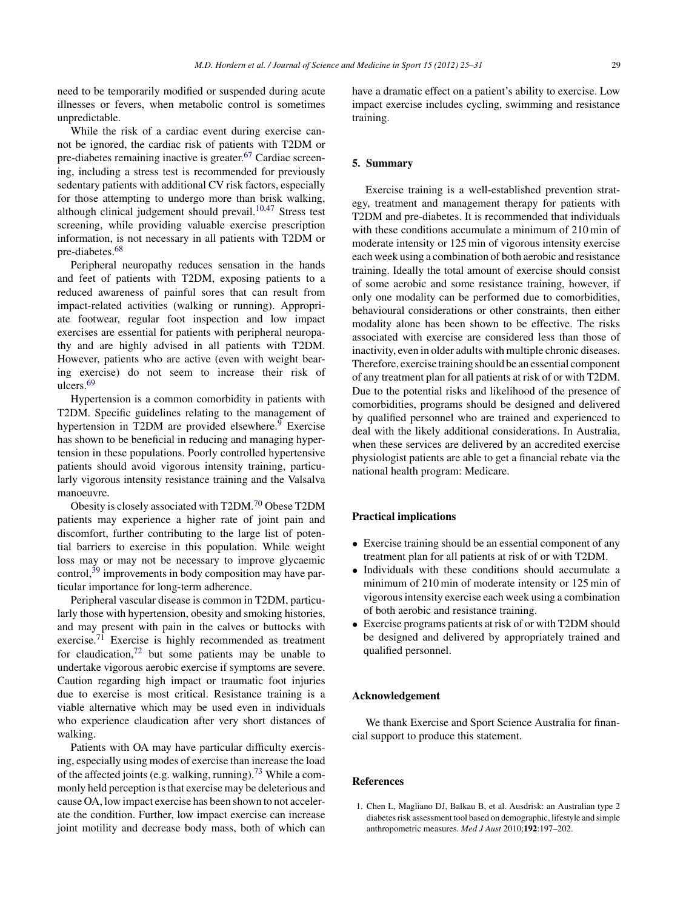<span id="page-4-0"></span>need to be temporarily modified or suspended during acute illnesses or fevers, when metabolic control is sometimes unpredictable.

While the risk of a cardiac event during exercise cannot be ignored, the cardiac risk of patients with T2DM or pre-diabetes remaining inactive is greater.[67](#page-6-0) Cardiac screening, including a stress test is recommended for previously sedentary patients with additional CV risk factors, especially for those attempting to undergo more than brisk walking, although clinical judgement should prevail.[10,47](#page-5-0) Stress test screening, while providing valuable exercise prescription information, is not necessary in all patients with T2DM or pre-diabetes.<sup>[68](#page-6-0)</sup>

Peripheral neuropathy reduces sensation in the hands and feet of patients with T2DM, exposing patients to a reduced awareness of painful sores that can result from impact-related activities (walking or running). Appropriate footwear, regular foot inspection and low impact exercises are essential for patients with peripheral neuropathy and are highly advised in all patients with T2DM. However, patients who are active (even with weight bearing exercise) do not seem to increase their risk of ulcers.[69](#page-6-0)

Hypertension is a common comorbidity in patients with T2DM. Specific guidelines relating to the management of hypertension in T2DM are provided elsewhere.<sup>9</sup> Exercise has shown to be beneficial in reducing and managing hypertension in these populations. Poorly controlled hypertensive patients should avoid vigorous intensity training, particularly vigorous intensity resistance training and the Valsalva manoeuvre.

Obesity is closely associated with T2DM.[70](#page-6-0) Obese T2DM patients may experience a higher rate of joint pain and discomfort, further contributing to the large list of potential barriers to exercise in this population. While weight loss may or may not be necessary to improve glycaemic control,  $39 \text{ improvements in body composition } \text{max}$  $39 \text{ improvements in body composition } \text{max}$  have particular importance for long-term adherence.

Peripheral vascular disease is common in T2DM, particularly those with hypertension, obesity and smoking histories, and may present with pain in the calves or buttocks with exercise.<sup>[71](#page-6-0)</sup> Exercise is highly recommended as treatment for claudication, $72$  but some patients may be unable to undertake vigorous aerobic exercise if symptoms are severe. Caution regarding high impact or traumatic foot injuries due to exercise is most critical. Resistance training is a viable alternative which may be used even in individuals who experience claudication after very short distances of walking.

Patients with OA may have particular difficulty exercising, especially using modes of exercise than increase the load of the affected joints (e.g. walking, running)[.73](#page-6-0) While a commonly held perception is that exercise may be deleterious and cause OA, low impact exercise has been shown to not accelerate the condition. Further, low impact exercise can increase joint motility and decrease body mass, both of which can have a dramatic effect on a patient's ability to exercise. Low impact exercise includes cycling, swimming and resistance training.

#### **5. Summary**

Exercise training is a well-established prevention strategy, treatment and management therapy for patients with T2DM and pre-diabetes. It is recommended that individuals with these conditions accumulate a minimum of 210 min of moderate intensity or 125 min of vigorous intensity exercise each week using a combination of both aerobic and resistance training. Ideally the total amount of exercise should consist of some aerobic and some resistance training, however, if only one modality can be performed due to comorbidities, behavioural considerations or other constraints, then either modality alone has been shown to be effective. The risks associated with exercise are considered less than those of inactivity, even in older adults with multiple chronic diseases. Therefore, exercise training should be an essential component of any treatment plan for all patients at risk of or with T2DM. Due to the potential risks and likelihood of the presence of comorbidities, programs should be designed and delivered by qualified personnel who are trained and experienced to deal with the likely additional considerations. In Australia, when these services are delivered by an accredited exercise physiologist patients are able to get a financial rebate via the national health program: Medicare.

### **Practical implications**

- Exercise training should be an essential component of any treatment plan for all patients at risk of or with T2DM.
- Individuals with these conditions should accumulate a minimum of 210 min of moderate intensity or 125 min of vigorous intensity exercise each week using a combination of both aerobic and resistance training.
- Exercise programs patients at risk of or with T2DM should be designed and delivered by appropriately trained and qualified personnel.

# **Acknowledgement**

We thank Exercise and Sport Science Australia for financial support to produce this statement.

# **References**

1. Chen L, Magliano DJ, Balkau B, et al. Ausdrisk: an Australian type 2 diabetes risk assessment tool based on demographic, lifestyle and simple anthropometric measures. *Med J Aust* 2010;**192**:197–202.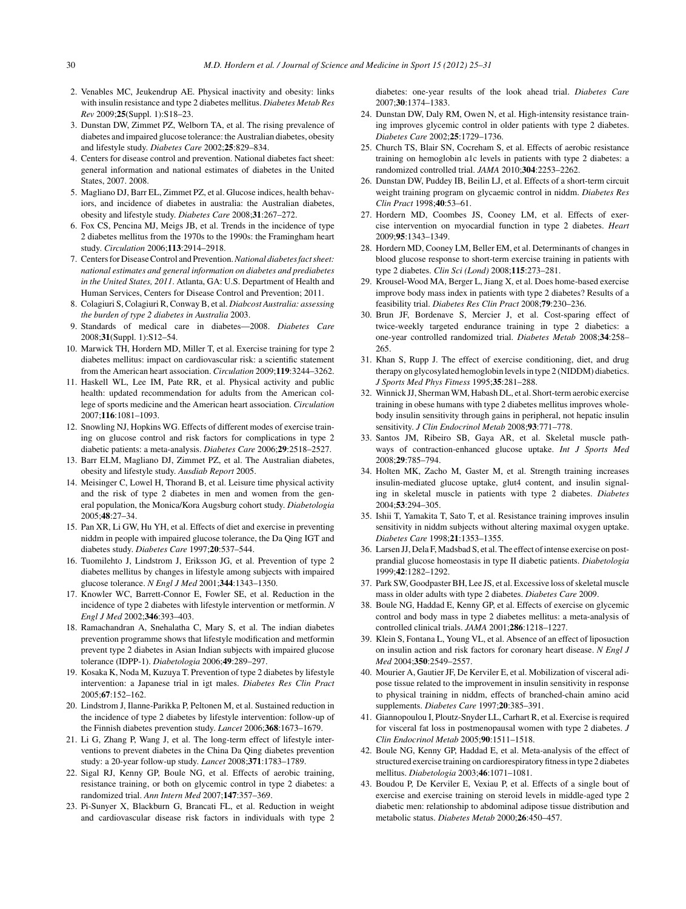- <span id="page-5-0"></span>2. Venables MC, Jeukendrup AE. Physical inactivity and obesity: links with insulin resistance and type 2 diabetes mellitus. *Diabetes Metab Res Rev* 2009;**25**(Suppl. 1):S18–23.
- 3. Dunstan DW, Zimmet PZ, Welborn TA, et al. The rising prevalence of diabetes and impaired glucose tolerance: the Australian diabetes, obesity and lifestyle study. *Diabetes Care* 2002;**25**:829–834.
- 4. Centers for disease control and prevention. National diabetes fact sheet: general information and national estimates of diabetes in the United States, 2007. 2008.
- 5. Magliano DJ, Barr EL, Zimmet PZ, et al. Glucose indices, health behaviors, and incidence of diabetes in australia: the Australian diabetes, obesity and lifestyle study. *Diabetes Care* 2008;**31**:267–272.
- 6. Fox CS, Pencina MJ, Meigs JB, et al. Trends in the incidence of type 2 diabetes mellitus from the 1970s to the 1990s: the Framingham heart study. *Circulation* 2006;**113**:2914–2918.
- 7. Centers for Disease Control and Prevention.*National diabetes fact sheet: national estimates and general information on diabetes and prediabetes in the United States, 2011*. Atlanta, GA: U.S. Department of Health and Human Services, Centers for Disease Control and Prevention; 2011.
- 8. Colagiuri S, Colagiuri R, Conway B, et al. *Diabcost Australia: assessing the burden of type 2 diabetes in Australia* 2003.
- 9. Standards of medical care in diabetes—2008. *Diabetes Care* 2008;**31**(Suppl. 1):S12–54.
- 10. Marwick TH, Hordern MD, Miller T, et al. Exercise training for type 2 diabetes mellitus: impact on cardiovascular risk: a scientific statement from the American heart association. *Circulation* 2009;**119**:3244–3262.
- 11. Haskell WL, Lee IM, Pate RR, et al. Physical activity and public health: updated recommendation for adults from the American college of sports medicine and the American heart association. *Circulation* 2007;**116**:1081–1093.
- 12. Snowling NJ, Hopkins WG. Effects of different modes of exercise training on glucose control and risk factors for complications in type 2 diabetic patients: a meta-analysis. *Diabetes Care* 2006;**29**:2518–2527.
- 13. Barr ELM, Magliano DJ, Zimmet PZ, et al. The Australian diabetes, obesity and lifestyle study. *Ausdiab Report* 2005.
- 14. Meisinger C, Lowel H, Thorand B, et al. Leisure time physical activity and the risk of type 2 diabetes in men and women from the general population, the Monica/Kora Augsburg cohort study. *Diabetologia* 2005;**48**:27–34.
- 15. Pan XR, Li GW, Hu YH, et al. Effects of diet and exercise in preventing niddm in people with impaired glucose tolerance, the Da Qing IGT and diabetes study. *Diabetes Care* 1997;**20**:537–544.
- 16. Tuomilehto J, Lindstrom J, Eriksson JG, et al. Prevention of type 2 diabetes mellitus by changes in lifestyle among subjects with impaired glucose tolerance. *N Engl J Med* 2001;**344**:1343–1350.
- 17. Knowler WC, Barrett-Connor E, Fowler SE, et al. Reduction in the incidence of type 2 diabetes with lifestyle intervention or metformin. *N Engl J Med* 2002;**346**:393–403.
- 18. Ramachandran A, Snehalatha C, Mary S, et al. The indian diabetes prevention programme shows that lifestyle modification and metformin prevent type 2 diabetes in Asian Indian subjects with impaired glucose tolerance (IDPP-1). *Diabetologia* 2006;**49**:289–297.
- 19. Kosaka K, Noda M, Kuzuya T. Prevention of type 2 diabetes by lifestyle intervention: a Japanese trial in igt males. *Diabetes Res Clin Pract* 2005;**67**:152–162.
- 20. Lindstrom J, Ilanne-Parikka P, Peltonen M, et al. Sustained reduction in the incidence of type 2 diabetes by lifestyle intervention: follow-up of the Finnish diabetes prevention study. *Lancet* 2006;**368**:1673–1679.
- 21. Li G, Zhang P, Wang J, et al. The long-term effect of lifestyle interventions to prevent diabetes in the China Da Qing diabetes prevention study: a 20-year follow-up study. *Lancet* 2008;**371**:1783–1789.
- 22. Sigal RJ, Kenny GP, Boule NG, et al. Effects of aerobic training, resistance training, or both on glycemic control in type 2 diabetes: a randomized trial. *Ann Intern Med* 2007;**147**:357–369.
- 23. Pi-Sunyer X, Blackburn G, Brancati FL, et al. Reduction in weight and cardiovascular disease risk factors in individuals with type 2

diabetes: one-year results of the look ahead trial. *Diabetes Care* 2007;**30**:1374–1383.

- 24. Dunstan DW, Daly RM, Owen N, et al. High-intensity resistance training improves glycemic control in older patients with type 2 diabetes. *Diabetes Care* 2002;**25**:1729–1736.
- 25. Church TS, Blair SN, Cocreham S, et al. Effects of aerobic resistance training on hemoglobin a1c levels in patients with type 2 diabetes: a randomized controlled trial. *JAMA* 2010;**304**:2253–2262.
- 26. Dunstan DW, Puddey IB, Beilin LJ, et al. Effects of a short-term circuit weight training program on glycaemic control in niddm. *Diabetes Res Clin Pract* 1998;**40**:53–61.
- 27. Hordern MD, Coombes JS, Cooney LM, et al. Effects of exercise intervention on myocardial function in type 2 diabetes. *Heart* 2009;**95**:1343–1349.
- 28. Hordern MD, Cooney LM, Beller EM, et al. Determinants of changes in blood glucose response to short-term exercise training in patients with type 2 diabetes. *Clin Sci (Lond)* 2008;**115**:273–281.
- 29. Krousel-Wood MA, Berger L, Jiang X, et al. Does home-based exercise improve body mass index in patients with type 2 diabetes? Results of a feasibility trial. *Diabetes Res Clin Pract* 2008;**79**:230–236.
- 30. Brun JF, Bordenave S, Mercier J, et al. Cost-sparing effect of twice-weekly targeted endurance training in type 2 diabetics: a one-year controlled randomized trial. *Diabetes Metab* 2008;**34**:258– 265.
- 31. Khan S, Rupp J. The effect of exercise conditioning, diet, and drug therapy on glycosylated hemoglobin levels in type 2 (NIDDM) diabetics. *J Sports Med Phys Fitness* 1995;**35**:281–288.
- 32. Winnick JJ, Sherman WM, Habash DL, et al. Short-term aerobic exercise training in obese humans with type 2 diabetes mellitus improves wholebody insulin sensitivity through gains in peripheral, not hepatic insulin sensitivity. *J Clin Endocrinol Metab* 2008;**93**:771–778.
- 33. Santos JM, Ribeiro SB, Gaya AR, et al. Skeletal muscle pathways of contraction-enhanced glucose uptake. *Int J Sports Med* 2008;**29**:785–794.
- 34. Holten MK, Zacho M, Gaster M, et al. Strength training increases insulin-mediated glucose uptake, glut4 content, and insulin signaling in skeletal muscle in patients with type 2 diabetes. *Diabetes* 2004;**53**:294–305.
- 35. Ishii T, Yamakita T, Sato T, et al. Resistance training improves insulin sensitivity in niddm subjects without altering maximal oxygen uptake. *Diabetes Care* 1998;**21**:1353–1355.
- 36. Larsen JJ, Dela F, Madsbad S, et al. The effect of intense exercise on postprandial glucose homeostasis in type II diabetic patients. *Diabetologia* 1999;**42**:1282–1292.
- 37. Park SW, Goodpaster BH, Lee JS, et al. Excessive loss of skeletal muscle mass in older adults with type 2 diabetes. *Diabetes Care* 2009.
- 38. Boule NG, Haddad E, Kenny GP, et al. Effects of exercise on glycemic control and body mass in type 2 diabetes mellitus: a meta-analysis of controlled clinical trials. *JAMA* 2001;**286**:1218–1227.
- 39. Klein S, Fontana L, Young VL, et al. Absence of an effect of liposuction on insulin action and risk factors for coronary heart disease. *N Engl J Med* 2004;**350**:2549–2557.
- 40. Mourier A, Gautier JF, De Kerviler E, et al. Mobilization of visceral adipose tissue related to the improvement in insulin sensitivity in response to physical training in niddm, effects of branched-chain amino acid supplements. *Diabetes Care* 1997;**20**:385–391.
- 41. Giannopoulou I, Ploutz-Snyder LL, Carhart R, et al. Exercise is required for visceral fat loss in postmenopausal women with type 2 diabetes. *J Clin Endocrinol Metab* 2005;**90**:1511–1518.
- 42. Boule NG, Kenny GP, Haddad E, et al. Meta-analysis of the effect of structured exercise training on cardiorespiratory fitness in type 2 diabetes mellitus. *Diabetologia* 2003;**46**:1071–1081.
- 43. Boudou P, De Kerviler E, Vexiau P, et al. Effects of a single bout of exercise and exercise training on steroid levels in middle-aged type 2 diabetic men: relationship to abdominal adipose tissue distribution and metabolic status. *Diabetes Metab* 2000;**26**:450–457.